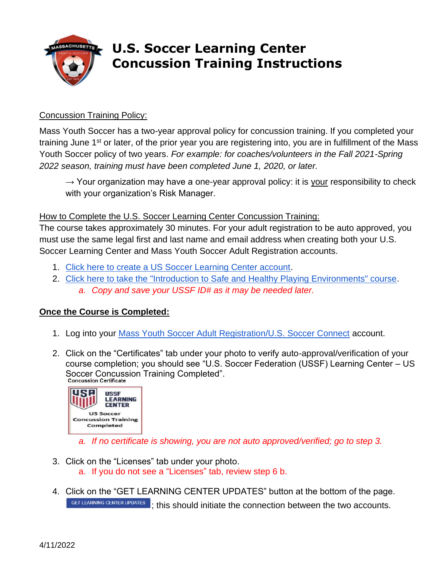

## **U.S. Soccer Learning Center Concussion Training Instructions**

## Concussion Training Policy:

Mass Youth Soccer has a two-year approval policy for concussion training. If you completed your training June 1st or later, of the prior year you are registering into, you are in fulfillment of the Mass Youth Soccer policy of two years. *For example: for coaches/volunteers in the Fall 2021-Spring 2022 season, training must have been completed June 1, 2020, or later.*

 $\rightarrow$  Your organization may have a one-year approval policy: it is your responsibility to check with your organization's Risk Manager.

## How to Complete the U.S. Soccer Learning Center Concussion Training:

The course takes approximately 30 minutes. For your adult registration to be auto approved, you must use the same legal first and last name and email address when creating both your U.S. Soccer Learning Center and Mass Youth Soccer Adult Registration accounts.

- 1. [Click here to create a US Soccer Learning Center account.](https://learning.ussoccer.com/sign-up)
- 2. [Click here to take the "Introduction to Safe and Healthy Playing Environments" course.](https://learning.ussoccer.com/coach/courses/available/32/details/6165) *a. Copy and save your USSF ID# as it may be needed later.*

## **Once the Course is Completed:**

- 1. Log into your [Mass Youth Soccer Adult Registration/U.S. Soccer Connect](https://mayouthsoccer.sportsaffinity.com/Foundation/Login.aspx?sessionguid=) account.
- 2. Click on the "Certificates" tab under your photo to verify auto-approval/verification of your course completion; you should see "U.S. Soccer Federation (USSF) Learning Center – US Soccer Concussion Training Completed".<br>Concussion Certificate



*a. If no certificate is showing, you are not auto approved/verified; go to step 3.*

- 3. Click on the "Licenses" tab under your photo. a. If you do not see a "Licenses" tab, review step 6 b.
- 4. Click on the "GET LEARNING CENTER UPDATES" button at the bottom of the page. GET LEARNING CENTER UPDATES ; this should initiate the connection between the two accounts.